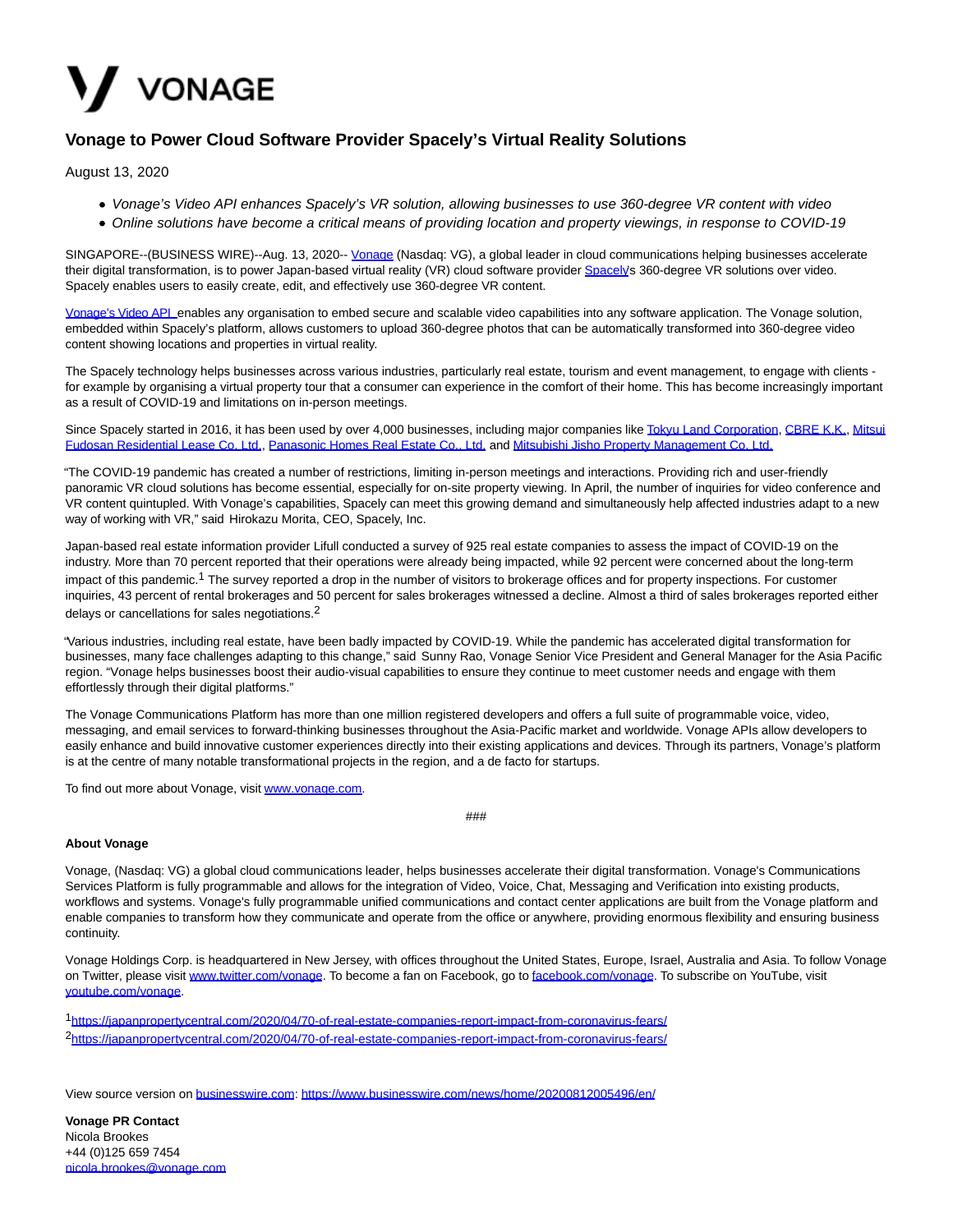

## **Vonage to Power Cloud Software Provider Spacely's Virtual Reality Solutions**

August 13, 2020

- Vonage's Video API enhances Spacely's VR solution, allowing businesses to use 360-degree VR content with video
- Online solutions have become a critical means of providing location and property viewings, in response to COVID-19

SINGAPORE--(BUSINESS WIRE)--Aug. 13, 2020-- [Vonage \(](https://cts.businesswire.com/ct/CT?id=smartlink&url=https%3A%2F%2Fwww.vonage.sg%2F&esheet=52265420&newsitemid=20200812005496&lan=en-US&anchor=Vonage&index=1&md5=d61586c4a9d1c20224473010b7bd3ad0)Nasdaq: VG), a global leader in cloud communications helping businesses accelerate their digital transformation, is to power Japan-based virtual reality (VR) cloud software provider [Spacely's](https://cts.businesswire.com/ct/CT?id=smartlink&url=https%3A%2F%2Fcorp.spacely.co.jp%2F&esheet=52265420&newsitemid=20200812005496&lan=en-US&anchor=Spacely&index=2&md5=e17a824769c82fb5806b063b07c2b5d4) 360-degree VR solutions over video. Spacely enables users to easily create, edit, and effectively use 360-degree VR content.

[Vonage's Video API e](https://cts.businesswire.com/ct/CT?id=smartlink&url=https%3A%2F%2Fwww.vonage.sg%2Fcommunications-apis%2Fvideo%2F&esheet=52265420&newsitemid=20200812005496&lan=en-US&anchor=Vonage%26%238217%3Bs+Video+API&index=3&md5=08e7a2c97d590b6d050e8630afb3e6e5)nables any organisation to embed secure and scalable video capabilities into any software application. The Vonage solution, embedded within Spacely's platform, allows customers to upload 360-degree photos that can be automatically transformed into 360-degree video content showing locations and properties in virtual reality.

The Spacely technology helps businesses across various industries, particularly real estate, tourism and event management, to engage with clients for example by organising a virtual property tour that a consumer can experience in the comfort of their home. This has become increasingly important as a result of COVID-19 and limitations on in-person meetings.

Since Spacely started in 2016, it has been used by over 4,000 businesses, including major companies like [Tokyu Land Corporation,](https://cts.businesswire.com/ct/CT?id=smartlink&url=https%3A%2F%2Fwww.tokyu-land.co.jp%2Fenglish%2F&esheet=52265420&newsitemid=20200812005496&lan=en-US&anchor=Tokyu+Land+Corporation&index=4&md5=78210c5456c689d2de2f7ddbc925433c) [CBRE K.K.,](https://cts.businesswire.com/ct/CT?id=smartlink&url=https%3A%2F%2Fwww.cbre.co.jp%2Fen%2Fabout&esheet=52265420&newsitemid=20200812005496&lan=en-US&anchor=CBRE+K.K.&index=5&md5=53d225f1aeda4c895a47b460f57f5d25) [Mitsui](https://cts.businesswire.com/ct/CT?id=smartlink&url=https%3A%2F%2Fmfhl.mitsui-chintai.co.jp%2F&esheet=52265420&newsitemid=20200812005496&lan=en-US&anchor=Mitsui+Fudosan+Residential+Lease+Co.+Ltd.&index=6&md5=01f78bcaf2e1cdce71cbca6e6a5d0974) Fudosan Residential Lease Co. Ltd., [Panasonic Homes Real Estate Co., Ltd. a](https://cts.businesswire.com/ct/CT?id=smartlink&url=https%3A%2F%2Fhomes.panasonic.com%2Fphre%2F%2529&esheet=52265420&newsitemid=20200812005496&lan=en-US&anchor=Panasonic+Homes+Real+Estate+Co.%2C+Ltd.&index=7&md5=893163918f9f5c2c08fbb6d4ba7be0c1)nd [Mitsubishi Jisho Property Management Co. Ltd.](https://cts.businesswire.com/ct/CT?id=smartlink&url=https%3A%2F%2Fwww.mjpm.co.jp%2Findex.html&esheet=52265420&newsitemid=20200812005496&lan=en-US&anchor=Mitsubishi+Jisho+Property+Management+Co.+Ltd.&index=8&md5=4cf7bb23c1ad2999548a8f2bfcae28ff)

"The COVID-19 pandemic has created a number of restrictions, limiting in-person meetings and interactions. Providing rich and user-friendly panoramic VR cloud solutions has become essential, especially for on-site property viewing. In April, the number of inquiries for video conference and VR content quintupled. With Vonage's capabilities, Spacely can meet this growing demand and simultaneously help affected industries adapt to a new way of working with VR," said Hirokazu Morita, CEO, Spacely, Inc.

Japan-based real estate information provider Lifull conducted a survey of 925 real estate companies to assess the impact of COVID-19 on the industry. More than 70 percent reported that their operations were already being impacted, while 92 percent were concerned about the long-term impact of this pandemic.<sup>1</sup> The survey reported a drop in the number of visitors to brokerage offices and for property inspections. For customer inquiries, 43 percent of rental brokerages and 50 percent for sales brokerages witnessed a decline. Almost a third of sales brokerages reported either delays or cancellations for sales negotiations.2

"Various industries, including real estate, have been badly impacted by COVID-19. While the pandemic has accelerated digital transformation for businesses, many face challenges adapting to this change," said Sunny Rao, Vonage Senior Vice President and General Manager for the Asia Pacific region. "Vonage helps businesses boost their audio-visual capabilities to ensure they continue to meet customer needs and engage with them effortlessly through their digital platforms."

The Vonage Communications Platform has more than one million registered developers and offers a full suite of programmable voice, video, messaging, and email services to forward-thinking businesses throughout the Asia-Pacific market and worldwide. Vonage APIs allow developers to easily enhance and build innovative customer experiences directly into their existing applications and devices. Through its partners, Vonage's platform is at the centre of many notable transformational projects in the region, and a de facto for startups.

To find out more about Vonage, visit [www.vonage.com.](https://cts.businesswire.com/ct/CT?id=smartlink&url=http%3A%2F%2Fwww.vonage.com&esheet=52265420&newsitemid=20200812005496&lan=en-US&anchor=www.vonage.com&index=9&md5=7303bf05d9b95f184bb85563fdf5c84f)

###

## **About Vonage**

Vonage, (Nasdaq: VG) a global cloud communications leader, helps businesses accelerate their digital transformation. Vonage's Communications Services Platform is fully programmable and allows for the integration of Video, Voice, Chat, Messaging and Verification into existing products, workflows and systems. Vonage's fully programmable unified communications and contact center applications are built from the Vonage platform and enable companies to transform how they communicate and operate from the office or anywhere, providing enormous flexibility and ensuring business continuity.

Vonage Holdings Corp. is headquartered in New Jersey, with offices throughout the United States, Europe, Israel, Australia and Asia. To follow Vonage on Twitter, please visit [www.twitter.com/vonage.](https://cts.businesswire.com/ct/CT?id=smartlink&url=http%3A%2F%2Fwww.twitter.com%2Fvonage&esheet=52265420&newsitemid=20200812005496&lan=en-US&anchor=www.twitter.com%2Fvonage&index=10&md5=ef2e2769f172411937fb75bf21b62d1e) To become a fan on Facebook, go t[o facebook.com/vonage.](https://cts.businesswire.com/ct/CT?id=smartlink&url=https%3A%2F%2Fwww.facebook.com%2Fvonage&esheet=52265420&newsitemid=20200812005496&lan=en-US&anchor=facebook.com%2Fvonage&index=11&md5=59322b6117c865fa25b789011c2eb152) To subscribe on YouTube, visit [youtube.com/vonage.](https://cts.businesswire.com/ct/CT?id=smartlink&url=https%3A%2F%2Fwww.youtube.com%2Fuser%2Fvonage&esheet=52265420&newsitemid=20200812005496&lan=en-US&anchor=youtube.com%2Fvonage&index=12&md5=f212b3d12d3e3ef1cb72645ef32dd08d)

1[https://japanpropertycentral.com/2020/04/70-of-real-estate-companies-report-impact-from-coronavirus-fears/](https://cts.businesswire.com/ct/CT?id=smartlink&url=https%3A%2F%2Fjapanpropertycentral.com%2F2020%2F04%2F70-of-real-estate-companies-report-impact-from-coronavirus-fears%2F&esheet=52265420&newsitemid=20200812005496&lan=en-US&anchor=https%3A%2F%2Fjapanpropertycentral.com%2F2020%2F04%2F70-of-real-estate-companies-report-impact-from-coronavirus-fears%2F&index=13&md5=3f0432966d860ef1815f3abce62e6b04) 2[https://japanpropertycentral.com/2020/04/70-of-real-estate-companies-report-impact-from-coronavirus-fears/](https://cts.businesswire.com/ct/CT?id=smartlink&url=https%3A%2F%2Fjapanpropertycentral.com%2F2020%2F04%2F70-of-real-estate-companies-report-impact-from-coronavirus-fears%2F&esheet=52265420&newsitemid=20200812005496&lan=en-US&anchor=https%3A%2F%2Fjapanpropertycentral.com%2F2020%2F04%2F70-of-real-estate-companies-report-impact-from-coronavirus-fears%2F&index=14&md5=222763c76ead598ab27c06019bbda4dd)

View source version on [businesswire.com:](http://businesswire.com/)<https://www.businesswire.com/news/home/20200812005496/en/>

**Vonage PR Contact** Nicola Brookes +44 (0)125 659 7454 [nicola.brookes@vonage.com](mailto:nicola.brookes@vonage.com)